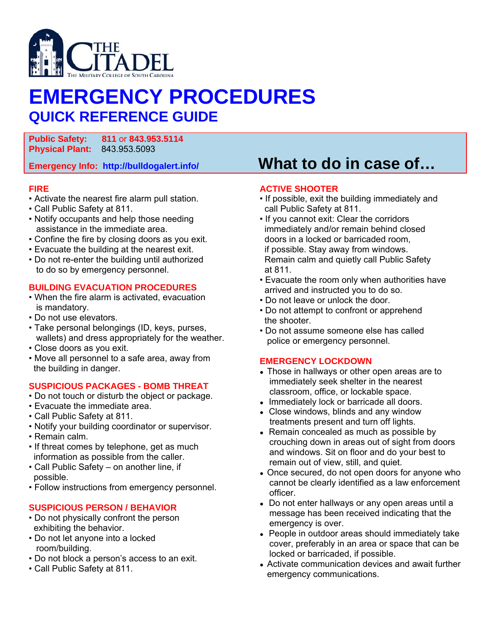

# **EMERGENCY PROCEDURES QUICK REFERENCE GUIDE**

**Public Safety: 811** or **843.953.5114 Physical Plant:** 843.953.5093

### **FIRE**

- Activate the nearest fire alarm pull station.
- Call Public Safety at 811.
- Notify occupants and help those needing assistance in the immediate area.
- Confine the fire by closing doors as you exit.
- Evacuate the building at the nearest exit.
- Do not re-enter the building until authorized to do so by emergency personnel.

#### **BUILDING EVACUATION PROCEDURES**

- When the fire alarm is activated, evacuation is mandatory.
- Do not use elevators.
- Take personal belongings (ID, keys, purses, wallets) and dress appropriately for the weather.
- Close doors as you exit.
- Move all personnel to a safe area, away from the building in danger.

### **SUSPICIOUS PACKAGES - BOMB THREAT**

- Do not touch or disturb the object or package.
- Evacuate the immediate area.
- Call Public Safety at 811.
- Notify your building coordinator or supervisor.
- Remain calm.
- If threat comes by telephone, get as much information as possible from the caller.
- Call Public Safety on another line, if possible.
- Follow instructions from emergency personnel.

### **SUSPICIOUS PERSON / BEHAVIOR**

- Do not physically confront the person exhibiting the behavior.
- Do not let anyone into a locked room/building.
- Do not block a person's access to an exit.
- Call Public Safety at 811.

### **Emergency Info: http://bulldogalert.info/ What to do in case of…**

#### **ACTIVE SHOOTER**

- If possible, exit the building immediately and call Public Safety at 811.
- If you cannot exit: Clear the corridors immediately and/or remain behind closed doors in a locked or barricaded room, if possible. Stay away from windows. Remain calm and quietly call Public Safety at 811.
- Evacuate the room only when authorities have arrived and instructed you to do so.
- Do not leave or unlock the door.
- Do not attempt to confront or apprehend the shooter.
- Do not assume someone else has called police or emergency personnel.

### **EMERGENCY LOCKDOWN**

- Those in hallways or other open areas are to immediately seek shelter in the nearest classroom, office, or lockable space.
- Immediately lock or barricade all doors.
- Close windows, blinds and any window treatments present and turn off lights.
- Remain concealed as much as possible by crouching down in areas out of sight from doors and windows. Sit on floor and do your best to remain out of view, still, and quiet.
- Once secured, do not open doors for anyone who cannot be clearly identified as a law enforcement officer.
- Do not enter hallways or any open areas until a message has been received indicating that the emergency is over.
- People in outdoor areas should immediately take cover, preferably in an area or space that can be locked or barricaded, if possible.
- Activate communication devices and await further emergency communications.